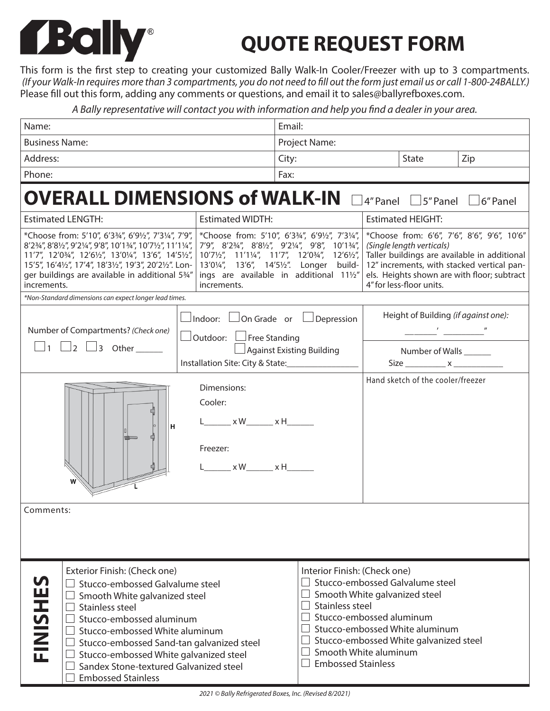## *Bally*

## **QUOTE REQUEST FORM**

This form is the first step to creating your customized Bally Walk-In Cooler/Freezer with up to 3 compartments.  *(If your Walk-In requires more than 3 compartments, you do not need to fill out the form just email us or call 1-800-24BALLY.)* Please fill out this form, adding any comments or questions, and email it to sales@ballyrefboxes.com.

*A Bally representative will contact you with information and help you find a dealer in your area.*

| Name:                                                                                                                                                                                                                                                                                                                                                           |                                                                                                                                 | Email:                                                                                                                                                                                                                                                                                                                                                                                                                                                                                           |                                                                                                                                                                                                                                                                                                        |  |  |  |  |  |
|-----------------------------------------------------------------------------------------------------------------------------------------------------------------------------------------------------------------------------------------------------------------------------------------------------------------------------------------------------------------|---------------------------------------------------------------------------------------------------------------------------------|--------------------------------------------------------------------------------------------------------------------------------------------------------------------------------------------------------------------------------------------------------------------------------------------------------------------------------------------------------------------------------------------------------------------------------------------------------------------------------------------------|--------------------------------------------------------------------------------------------------------------------------------------------------------------------------------------------------------------------------------------------------------------------------------------------------------|--|--|--|--|--|
| <b>Business Name:</b>                                                                                                                                                                                                                                                                                                                                           |                                                                                                                                 | Project Name:                                                                                                                                                                                                                                                                                                                                                                                                                                                                                    |                                                                                                                                                                                                                                                                                                        |  |  |  |  |  |
| Address:                                                                                                                                                                                                                                                                                                                                                        |                                                                                                                                 | State<br>Zip<br>City:                                                                                                                                                                                                                                                                                                                                                                                                                                                                            |                                                                                                                                                                                                                                                                                                        |  |  |  |  |  |
| Phone:                                                                                                                                                                                                                                                                                                                                                          |                                                                                                                                 | Fax:                                                                                                                                                                                                                                                                                                                                                                                                                                                                                             |                                                                                                                                                                                                                                                                                                        |  |  |  |  |  |
| <b>OVERALL DIMENSIONS of WALK-IN</b><br>$\exists$ 5" Panel $\Box$ 6" Panel<br>$4''$ Panel $\Box$                                                                                                                                                                                                                                                                |                                                                                                                                 |                                                                                                                                                                                                                                                                                                                                                                                                                                                                                                  |                                                                                                                                                                                                                                                                                                        |  |  |  |  |  |
| <b>Estimated LENGTH:</b>                                                                                                                                                                                                                                                                                                                                        | <b>Estimated WIDTH:</b>                                                                                                         |                                                                                                                                                                                                                                                                                                                                                                                                                                                                                                  | <b>Estimated HEIGHT:</b>                                                                                                                                                                                                                                                                               |  |  |  |  |  |
| *Choose from: 5'10", 6'33/4", 6'91/2", 7'31/4", 7'9",<br>8'23/4", 8'81/2", 9'21/4", 9'8", 10'13/4", 10'71/2", 11'11/4",<br>11'7", 12'034", 12'61/2", 13'01/4", 13'6", 14'51/2",<br>15'5", 16'41/2", 17'4", 18'31/2", 19'3", 20'21/2". Lon-<br>ger buildings are available in additional 534"<br>increments.                                                     | increments.                                                                                                                     | *Choose from: 6'6", 7'6", 8'6", 9'6", 10'6"<br>*Choose from: 5'10", 6'334", 6'91/2", 7'31/4",<br>7'9", 8'23/4", 8'81/2", 9'21/4", 9'8", 10'13/4",<br>(Single length verticals)<br>Taller buildings are available in additional<br>10'71/2", 11'11/4", 11'7", 12'03/4", 12'61/2",<br>13'01/4", 13'6", 14'51/2". Longer build-<br>12" increments, with stacked vertical pan-<br>ings are available in additional 111/2"<br>els. Heights shown are with floor; subtract<br>4" for less-floor units. |                                                                                                                                                                                                                                                                                                        |  |  |  |  |  |
| *Non-Standard dimensions can expect longer lead times.                                                                                                                                                                                                                                                                                                          |                                                                                                                                 |                                                                                                                                                                                                                                                                                                                                                                                                                                                                                                  |                                                                                                                                                                                                                                                                                                        |  |  |  |  |  |
| Number of Compartments? (Check one)<br>$\Box$ 2 $\Box$ 3 Other<br>$1 \mid$                                                                                                                                                                                                                                                                                      | $\Box$ Indoor: $\Box$ On Grade or $\Box$ Depression<br>$\Box$ Outdoor: $\Box$ Free Standing<br>Installation Site: City & State: | Against Existing Building                                                                                                                                                                                                                                                                                                                                                                                                                                                                        | Height of Building (if against one):<br>$\frac{1}{2}$<br>Number of Walls                                                                                                                                                                                                                               |  |  |  |  |  |
| н<br>Comments:                                                                                                                                                                                                                                                                                                                                                  | Dimensions:<br>Cooler:<br>_______ x W_______ x H_______<br>Freezer:<br>$L \times W \times H$                                    |                                                                                                                                                                                                                                                                                                                                                                                                                                                                                                  | Hand sketch of the cooler/freezer                                                                                                                                                                                                                                                                      |  |  |  |  |  |
|                                                                                                                                                                                                                                                                                                                                                                 |                                                                                                                                 |                                                                                                                                                                                                                                                                                                                                                                                                                                                                                                  |                                                                                                                                                                                                                                                                                                        |  |  |  |  |  |
| Exterior Finish: (Check one)<br>U<br>Stucco-embossed Galvalume steel<br>FINISHE<br>Smooth White galvanized steel<br>Stainless steel<br>Stucco-embossed aluminum<br>Stucco-embossed White aluminum<br>Stucco-embossed Sand-tan galvanized steel<br>Stucco-embossed White galvanized steel<br>Sandex Stone-textured Galvanized steel<br><b>Embossed Stainless</b> |                                                                                                                                 |                                                                                                                                                                                                                                                                                                                                                                                                                                                                                                  | Interior Finish: (Check one)<br>$\Box$ Stucco-embossed Galvalume steel<br>$\Box$ Smooth White galvanized steel<br>$\Box$ Stainless steel<br>Stucco-embossed aluminum<br>Stucco-embossed White aluminum<br>Stucco-embossed White galvanized steel<br>Smooth White aluminum<br><b>Embossed Stainless</b> |  |  |  |  |  |